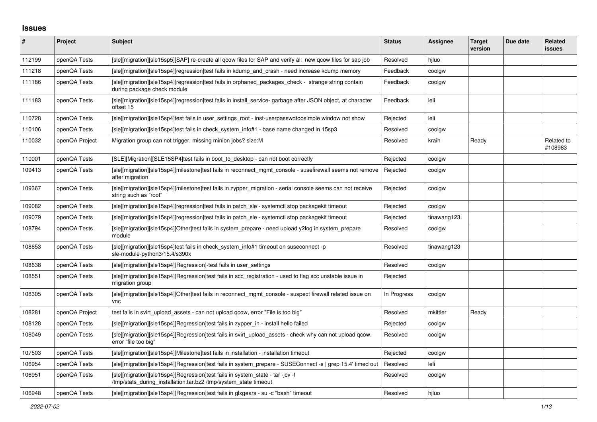## **Issues**

| #      | Project        | <b>Subject</b>                                                                                                                                     | <b>Status</b> | <b>Assignee</b> | <b>Target</b><br>version | Due date | Related<br>issues     |
|--------|----------------|----------------------------------------------------------------------------------------------------------------------------------------------------|---------------|-----------------|--------------------------|----------|-----------------------|
| 112199 | openQA Tests   | [sle][migration][sle15sp5][SAP] re-create all qcow files for SAP and verify all new qcow files for sap job                                         | Resolved      | hjluo           |                          |          |                       |
| 111218 | openQA Tests   | [sle][migration][sle15sp4][regression]test fails in kdump and crash - need increase kdump memory                                                   | Feedback      | coolgw          |                          |          |                       |
| 111186 | openQA Tests   | [sle][migration][sle15sp4][regression]test fails in orphaned_packages_check - strange string contain<br>during package check module                | Feedback      | coolgw          |                          |          |                       |
| 111183 | openQA Tests   | [sle][migration][sle15sp4][regression]test fails in install service-garbage after JSON object, at character<br>offset 15                           | Feedback      | leli            |                          |          |                       |
| 110728 | openQA Tests   | [sle][migration][sle15sp4]test fails in user settings root - inst-userpasswdtoosimple window not show                                              | Rejected      | leli            |                          |          |                       |
| 110106 | openQA Tests   | [sle][migration][sle15sp4]test fails in check system info#1 - base name changed in 15sp3                                                           | Resolved      | coolgw          |                          |          |                       |
| 110032 | openQA Project | Migration group can not trigger, missing minion jobs? size:M                                                                                       | Resolved      | kraih           | Ready                    |          | Related to<br>#108983 |
| 110001 | openQA Tests   | [SLE][Migration][SLE15SP4]test fails in boot to desktop - can not boot correctly                                                                   | Rejected      | coolgw          |                          |          |                       |
| 109413 | openQA Tests   | [sle][migration][sle15sp4][milestone]test fails in reconnect mgmt console - susefirewall seems not remove<br>after migration                       | Rejected      | coolgw          |                          |          |                       |
| 109367 | openQA Tests   | [sle][migration][sle15sp4][milestone]test fails in zypper_migration - serial console seems can not receive<br>string such as "root"                | Rejected      | coolgw          |                          |          |                       |
| 109082 | openQA Tests   | [sle][migration][sle15sp4][regression]test fails in patch sle - systemctl stop packagekit timeout                                                  | Rejected      | coolgw          |                          |          |                       |
| 109079 | openQA Tests   | [sle][migration][sle15sp4][regression]test fails in patch_sle - systemctl stop packagekit timeout                                                  | Rejected      | tinawang123     |                          |          |                       |
| 108794 | openQA Tests   | [sle][migration][sle15sp4][Other]test fails in system_prepare - need upload y2log in system_prepare<br>module                                      | Resolved      | coolgw          |                          |          |                       |
| 108653 | openQA Tests   | [sle][migration][sle15sp4]test fails in check_system_info#1 timeout on suseconnect -p<br>sle-module-python3/15.4/s390x                             | Resolved      | tinawang123     |                          |          |                       |
| 108638 | openQA Tests   | [sle][migration][sle15sp4][Regression]-test fails in user settings                                                                                 | Resolved      | coolgw          |                          |          |                       |
| 108551 | openQA Tests   | [sle][migration][sle15sp4][Regression]test fails in scc registration - used to flag scc unstable issue in<br>migration group                       | Rejected      |                 |                          |          |                       |
| 108305 | openQA Tests   | [sle][migration][sle15sp4][Other]test fails in reconnect mgmt console - suspect firewall related issue on<br>vnc                                   | In Progress   | coolgw          |                          |          |                       |
| 108281 | openQA Project | test fails in svirt upload assets - can not upload gcow, error "File is too big"                                                                   | Resolved      | mkittler        | Ready                    |          |                       |
| 108128 | openQA Tests   | [sle][migration][sle15sp4][Regression]test fails in zypper_in - install hello failed                                                               | Rejected      | coolgw          |                          |          |                       |
| 108049 | openQA Tests   | [sle][migration][sle15sp4][Regression]test fails in svirt_upload_assets - check why can not upload qcow,<br>error "file too big"                   | Resolved      | coolgw          |                          |          |                       |
| 107503 | openQA Tests   | [sle][migration][sle15sp4][Milestone]test fails in installation - installation timeout                                                             | Rejected      | coolgw          |                          |          |                       |
| 106954 | openQA Tests   | [sle][migration][sle15sp4][Regression]test fails in system_prepare - SUSEConnect -s   grep 15.4' timed out                                         | Resolved      | leli            |                          |          |                       |
| 106951 | openQA Tests   | [sle][migration][sle15sp4][Regression]test fails in system_state - tar -jcv -f<br>/tmp/stats_during_installation.tar.bz2 /tmp/system_state timeout | Resolved      | coolgw          |                          |          |                       |
| 106948 | openQA Tests   | [sle][migration][sle15sp4][Regression]test fails in glxgears - su -c "bash" timeout                                                                | Resolved      | hiluo           |                          |          |                       |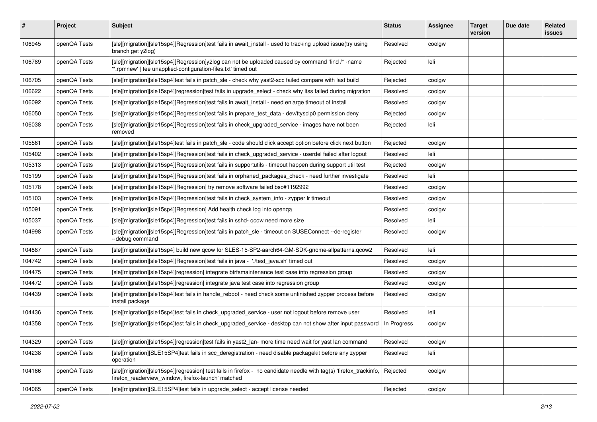| #      | <b>Project</b> | <b>Subject</b>                                                                                                                                                           | <b>Status</b> | <b>Assignee</b> | <b>Target</b><br>version | Due date | <b>Related</b><br><b>issues</b> |
|--------|----------------|--------------------------------------------------------------------------------------------------------------------------------------------------------------------------|---------------|-----------------|--------------------------|----------|---------------------------------|
| 106945 | openQA Tests   | [sle][migration][sle15sp4][Regression]test fails in await_install - used to tracking upload issue(try using<br>branch get y2log)                                         | Resolved      | coolgw          |                          |          |                                 |
| 106789 | openQA Tests   | [sle][migration][sle15sp4][Regression]y2log can not be uploaded caused by command 'find /* -name<br>*.rpmnew'   tee unapplied-configuration-files.txt' timed out         | Rejected      | leli            |                          |          |                                 |
| 106705 | openQA Tests   | [sle][migration][sle15sp4]test fails in patch sle - check why yast2-scc failed compare with last build                                                                   | Rejected      | coolgw          |                          |          |                                 |
| 106622 | openQA Tests   | [sle][migration][sle15sp4][regression]test fails in upgrade_select - check why ltss failed during migration                                                              | Resolved      | coolgw          |                          |          |                                 |
| 106092 | openQA Tests   | [sle][migration][sle15sp4][Regression]test fails in await install - need enlarge timeout of install                                                                      | Resolved      | coolgw          |                          |          |                                 |
| 106050 | openQA Tests   | [sle][migration][sle15sp4][Regression]test fails in prepare_test_data - dev/ttysclp0 permission deny                                                                     | Rejected      | coolgw          |                          |          |                                 |
| 106038 | openQA Tests   | [sle][migration][sle15sp4][Regression]test fails in check_upgraded_service - images have not been<br>removed                                                             | Rejected      | leli            |                          |          |                                 |
| 105561 | openQA Tests   | [sle][migration][sle15sp4]test fails in patch_sle - code should click accept option before click next button                                                             | Rejected      | coolgw          |                          |          |                                 |
| 105402 | openQA Tests   | [sle][migration][sle15sp4][Regression]test fails in check_upgraded_service - userdel failed after logout                                                                 | Resolved      | leli            |                          |          |                                 |
| 105313 | openQA Tests   | [sle][migration][sle15sp4][Regression]test fails in supportutils - timeout happen during support util test                                                               | Rejected      | coolgw          |                          |          |                                 |
| 105199 | openQA Tests   | [sle][migration][sle15sp4][Regression]test fails in orphaned_packages_check - need further investigate                                                                   | Resolved      | leli            |                          |          |                                 |
| 105178 | openQA Tests   | [sle][migration][sle15sp4][Regression] try remove software failed bsc#1192992                                                                                            | Resolved      | coolgw          |                          |          |                                 |
| 105103 | openQA Tests   | [sle][migration][sle15sp4][Regression]test fails in check_system_info - zypper lr timeout                                                                                | Resolved      | coolgw          |                          |          |                                 |
| 105091 | openQA Tests   | [sle][migration][sle15sp4][Regression] Add health check log into openqa                                                                                                  | Resolved      | coolgw          |                          |          |                                 |
| 105037 | openQA Tests   | [sle][migration][sle15sp4][Regression]test fails in sshd- qcow need more size                                                                                            | Resolved      | leli            |                          |          |                                 |
| 104998 | openQA Tests   | [sle][migration][sle15sp4][Regression]test fails in patch_sle - timeout on SUSEConnect --de-register<br>--debug command                                                  | Resolved      | coolgw          |                          |          |                                 |
| 104887 | openQA Tests   | [sle][migration][sle15sp4] build new qcow for SLES-15-SP2-aarch64-GM-SDK-gnome-allpatterns.qcow2                                                                         | Resolved      | leli            |                          |          |                                 |
| 104742 | openQA Tests   | [sle][migration][sle15sp4][Regression]test fails in java - './test_java.sh' timed out                                                                                    | Resolved      | coolgw          |                          |          |                                 |
| 104475 | openQA Tests   | [sle][migration][sle15sp4][regression] integrate btrfsmaintenance test case into regression group                                                                        | Resolved      | coolgw          |                          |          |                                 |
| 104472 | openQA Tests   | [sle][migration][sle15sp4][regression] integrate java test case into regression group                                                                                    | Resolved      | coolgw          |                          |          |                                 |
| 104439 | openQA Tests   | [sle][migration][sle15sp4]test fails in handle_reboot - need check some unfinished zypper process before<br>install package                                              | Resolved      | coolgw          |                          |          |                                 |
| 104436 | openQA Tests   | [sle][migration][sle15sp4]test fails in check_upgraded_service - user not logout before remove user                                                                      | Resolved      | leli            |                          |          |                                 |
| 104358 | openQA Tests   | [sle][migration][sle15sp4]test fails in check_upgraded_service - desktop can not show after input password                                                               | In Progress   | coolgw          |                          |          |                                 |
| 104329 | openQA Tests   | [sle][migration][sle15sp4][regression]test fails in yast2_lan- more time need wait for yast lan command                                                                  | Resolved      | coolgw          |                          |          |                                 |
| 104238 | openQA Tests   | [sle][migration][SLE15SP4]test fails in scc_deregistration - need disable packagekit before any zypper<br>operation                                                      | Resolved      | leli            |                          |          |                                 |
| 104166 | openQA Tests   | [sle][migration][sle15sp4][regression] test fails in firefox - no candidate needle with tag(s) 'firefox_trackinfo,<br>firefox_readerview_window, firefox-launch' matched | Rejected      | coolgw          |                          |          |                                 |
| 104065 | openQA Tests   | [sle][migration][SLE15SP4]test fails in upgrade_select - accept license needed                                                                                           | Rejected      | coolgw          |                          |          |                                 |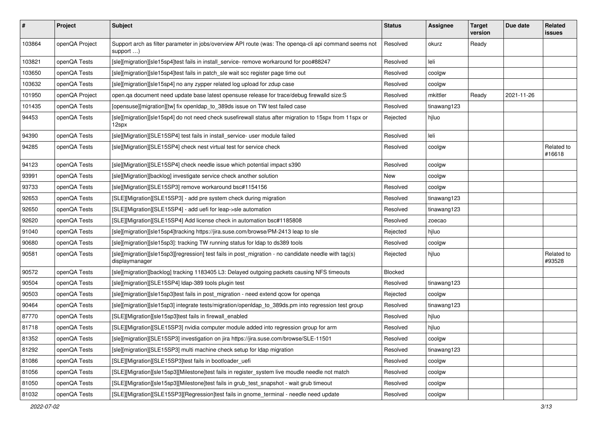| #      | Project        | <b>Subject</b>                                                                                                               | <b>Status</b> | <b>Assignee</b> | <b>Target</b><br>version | Due date   | Related<br>issues    |
|--------|----------------|------------------------------------------------------------------------------------------------------------------------------|---------------|-----------------|--------------------------|------------|----------------------|
| 103864 | openQA Project | Support arch as filter parameter in jobs/overview API route (was: The openqa-cli api command seems not<br>support $\ldots$ ) | Resolved      | okurz           | Ready                    |            |                      |
| 103821 | openQA Tests   | [sle][migration][sle15sp4]test fails in install_service- remove workaround for poo#88247                                     | Resolved      | leli            |                          |            |                      |
| 103650 | openQA Tests   | [sle][migration][sle15sp4]test fails in patch_sle wait scc register page time out                                            | Resolved      | coolgw          |                          |            |                      |
| 103632 | openQA Tests   | [sle][migration][sle15sp4] no any zypper related log upload for zdup case                                                    | Resolved      | coolgw          |                          |            |                      |
| 101950 | openQA Project | open.qa document need update base latest opensuse release for trace/debug firewalld size:S                                   | Resolved      | mkittler        | Ready                    | 2021-11-26 |                      |
| 101435 | openQA Tests   | [opensuse][migration][tw] fix openIdap_to_389ds issue on TW test failed case                                                 | Resolved      | tinawang123     |                          |            |                      |
| 94453  | openQA Tests   | [sle][migration][sle15sp4] do not need check susefirewall status after migration to 15spx from 11spx or<br>12spx             | Rejected      | hjluo           |                          |            |                      |
| 94390  | openQA Tests   | [sle][Migration][SLE15SP4] test fails in install_service- user module failed                                                 | Resolved      | leli            |                          |            |                      |
| 94285  | openQA Tests   | [sle][Migration][SLE15SP4] check nest virtual test for service check                                                         | Resolved      | coolgw          |                          |            | Related to<br>#16618 |
| 94123  | openQA Tests   | [sle][Migration][SLE15SP4] check needle issue which potential impact s390                                                    | Resolved      | coolgw          |                          |            |                      |
| 93991  | openQA Tests   | [sle][Migration][backlog] investigate service check another solution                                                         | New           | coolgw          |                          |            |                      |
| 93733  | openQA Tests   | [sle][Migration][SLE15SP3] remove workaround bsc#1154156                                                                     | Resolved      | coolgw          |                          |            |                      |
| 92653  | openQA Tests   | [SLE][Migration][SLE15SP3] - add pre system check during migration                                                           | Resolved      | tinawang123     |                          |            |                      |
| 92650  | openQA Tests   | [SLE][Migration][SLE15SP4] - add uefi for leap->sle automation                                                               | Resolved      | tinawang123     |                          |            |                      |
| 92620  | openQA Tests   | [SLE][Migration][SLE15SP4] Add license check in automation bsc#1185808                                                       | Resolved      | zoecao          |                          |            |                      |
| 91040  | openQA Tests   | [sle][migration][sle15sp4]tracking https://jira.suse.com/browse/PM-2413 leap to sle                                          | Rejected      | hjluo           |                          |            |                      |
| 90680  | openQA Tests   | [sle][migration][sle15sp3]: tracking TW running status for Idap to ds389 tools                                               | Resolved      | coolgw          |                          |            |                      |
| 90581  | openQA Tests   | [sle][migration][sle15sp3][regression] test fails in post_migration - no candidate needle with tag(s)<br>displaymanager      | Rejected      | hjluo           |                          |            | Related to<br>#93528 |
| 90572  | openQA Tests   | [sle][migration][backlog] tracking 1183405 L3: Delayed outgoing packets causing NFS timeouts                                 | Blocked       |                 |                          |            |                      |
| 90504  | openQA Tests   | [sle][migration][SLE15SP4] Idap-389 tools plugin test                                                                        | Resolved      | tinawang123     |                          |            |                      |
| 90503  | openQA Tests   | [sle][migration][sle15sp3]test fails in post_migration - need extend qcow for openqa                                         | Rejected      | coolgw          |                          |            |                      |
| 90464  | openQA Tests   | [sle][migration][sle15sp3] integrate tests/migration/openIdap_to_389ds.pm into regression test group                         | Resolved      | tinawang123     |                          |            |                      |
| 87770  | openQA Tests   | [SLE][Migration][sle15sp3]test fails in firewall_enabled                                                                     | Resolved      | hjluo           |                          |            |                      |
| 81718  | openQA Tests   | [SLE][Migration][SLE15SP3] nvidia computer module added into regression group for arm                                        | Resolved      | hjluo           |                          |            |                      |
| 81352  | openQA Tests   | [sle][migration][SLE15SP3] investigation on jira https://jira.suse.com/browse/SLE-11501                                      | Resolved      | coolgw          |                          |            |                      |
| 81292  | openQA Tests   | [sle][migration][SLE15SP3] multi machine check setup for Idap migration                                                      | Resolved      | tinawang123     |                          |            |                      |
| 81086  | openQA Tests   | [SLE][Migration][SLE15SP3]test fails in bootloader uefi                                                                      | Resolved      | coolgw          |                          |            |                      |
| 81056  | openQA Tests   | [SLE][Migration][sle15sp3][Milestone]test fails in register_system live moudle needle not match                              | Resolved      | coolgw          |                          |            |                      |
| 81050  | openQA Tests   | [SLE][Migration][sle15sp3][Milestone]test fails in grub test snapshot - wait grub timeout                                    | Resolved      | coolgw          |                          |            |                      |
| 81032  | openQA Tests   | [SLE][Migration][SLE15SP3][Regression]test fails in gnome_terminal - needle need update                                      | Resolved      | coolgw          |                          |            |                      |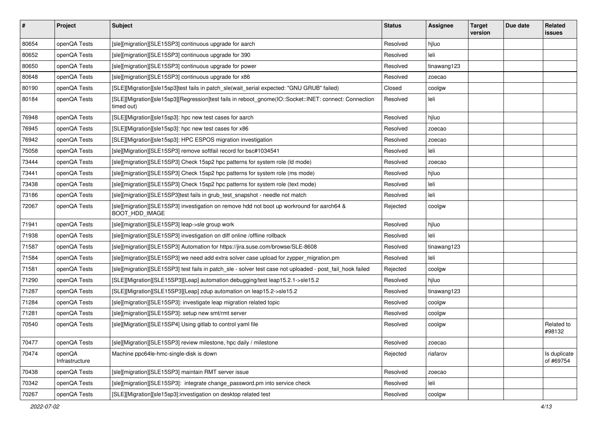| $\vert$ # | Project                  | <b>Subject</b>                                                                                                       | <b>Status</b> | Assignee    | <b>Target</b><br>version | Due date | Related<br><b>issues</b>  |
|-----------|--------------------------|----------------------------------------------------------------------------------------------------------------------|---------------|-------------|--------------------------|----------|---------------------------|
| 80654     | openQA Tests             | [sle][migration][SLE15SP3] continuous upgrade for aarch                                                              | Resolved      | hjluo       |                          |          |                           |
| 80652     | openQA Tests             | [sle][migration][SLE15SP3] continuous upgrade for 390                                                                | Resolved      | leli        |                          |          |                           |
| 80650     | openQA Tests             | [sle][migration][SLE15SP3] continuous upgrade for power                                                              | Resolved      | tinawang123 |                          |          |                           |
| 80648     | openQA Tests             | [sle][migration][SLE15SP3] continuous upgrade for x86                                                                | Resolved      | zoecao      |                          |          |                           |
| 80190     | openQA Tests             | [SLE][Migration][sle15sp3]test fails in patch_sle(wait_serial expected: "GNU GRUB" failed)                           | Closed        | coolgw      |                          |          |                           |
| 80184     | openQA Tests             | [SLE][Migration][sle15sp3][Regression]test fails in reboot_gnome(IO::Socket::INET: connect: Connection<br>timed out) | Resolved      | leli        |                          |          |                           |
| 76948     | openQA Tests             | [SLE][Migration][sle15sp3]: hpc new test cases for aarch                                                             | Resolved      | hjluo       |                          |          |                           |
| 76945     | openQA Tests             | [SLE][Migration][sle15sp3]: hpc new test cases for x86                                                               | Resolved      | zoecao      |                          |          |                           |
| 76942     | openQA Tests             | [SLE][Migration][sle15sp3]: HPC ESPOS migration investigation                                                        | Resolved      | zoecao      |                          |          |                           |
| 75058     | openQA Tests             | [sle][Migration][SLE15SP3] remove softfail record for bsc#1034541                                                    | Resolved      | leli        |                          |          |                           |
| 73444     | openQA Tests             | [sle][migration][SLE15SP3] Check 15sp2 hpc patterns for system role (Id mode)                                        | Resolved      | zoecao      |                          |          |                           |
| 73441     | openQA Tests             | [sle][migration][SLE15SP3] Check 15sp2 hpc patterns for system role (ms mode)                                        | Resolved      | hjluo       |                          |          |                           |
| 73438     | openQA Tests             | [sle][migration][SLE15SP3] Check 15sp2 hpc patterns for system role (text mode)                                      | Resolved      | leli        |                          |          |                           |
| 73186     | openQA Tests             | [sle][migration][SLE15SP3]test fails in grub_test_snapshot - needle not match                                        | Resolved      | leli        |                          |          |                           |
| 72067     | openQA Tests             | [sle][migration][SLE15SP3] investigation on remove hdd not boot up workround for aarch64 &<br>BOOT_HDD_IMAGE         | Rejected      | coolgw      |                          |          |                           |
| 71941     | openQA Tests             | [sle][migration][SLE15SP3] leap->sle group work                                                                      | Resolved      | hjluo       |                          |          |                           |
| 71938     | openQA Tests             | [sle][migration][SLE15SP3] investigation on diff online /offline rollback                                            | Resolved      | leli        |                          |          |                           |
| 71587     | openQA Tests             | [sle][migration][SLE15SP3] Automation for https://jira.suse.com/browse/SLE-8608                                      | Resolved      | tinawang123 |                          |          |                           |
| 71584     | openQA Tests             | [sle][migration][SLE15SP3] we need add extra solver case upload for zypper_migration.pm                              | Resolved      | leli        |                          |          |                           |
| 71581     | openQA Tests             | [sle][migration][SLE15SP3] test fails in patch_sle - solver test case not uploaded - post_fail_hook failed           | Rejected      | coolgw      |                          |          |                           |
| 71290     | openQA Tests             | [SLE][Migration][SLE15SP3][Leap] automation debugging/test leap15.2.1->sle15.2                                       | Resolved      | hjluo       |                          |          |                           |
| 71287     | openQA Tests             | [SLE][Migration][SLE15SP3][Leap] zdup automation on leap15.2->sle15.2                                                | Resolved      | tinawang123 |                          |          |                           |
| 71284     | openQA Tests             | [sle][migration][SLE15SP3]: investigate leap migration related topic                                                 | Resolved      | coolgw      |                          |          |                           |
| 71281     | openQA Tests             | [sle][migration][SLE15SP3]: setup new smt/rmt server                                                                 | Resolved      | coolgw      |                          |          |                           |
| 70540     | openQA Tests             | [sle][Migration][SLE15SP4] Using gitlab to control yaml file                                                         | Resolved      | coolgw      |                          |          | Related to<br>#98132      |
| 70477     | openQA Tests             | [sle][Migration][SLE15SP3] review milestone, hpc daily / milestone                                                   | Resolved      | zoecao      |                          |          |                           |
| 70474     | openQA<br>Infrastructure | Machine ppc64le-hmc-single-disk is down                                                                              | Rejected      | riafarov    |                          |          | Is duplicate<br>of #69754 |
| 70438     | openQA Tests             | [sle][migration][SLE15SP3] maintain RMT server issue                                                                 | Resolved      | zoecao      |                          |          |                           |
| 70342     | openQA Tests             | [sle][migration][SLE15SP3]: integrate change_password.pm into service check                                          | Resolved      | leli        |                          |          |                           |
| 70267     | openQA Tests             | [SLE][Migration][sle15sp3]:investigation on desktop related test                                                     | Resolved      | coolgw      |                          |          |                           |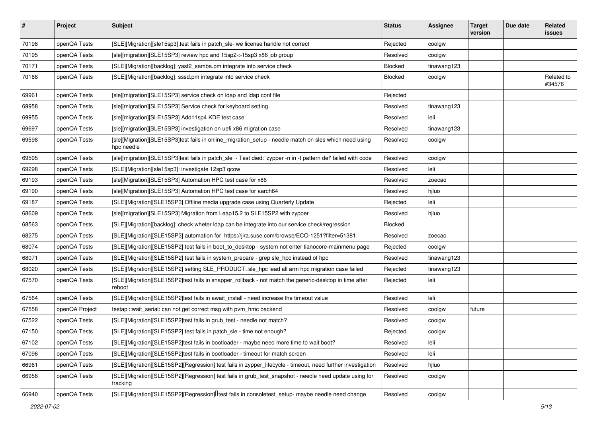| $\vert$ # | Project        | <b>Subject</b>                                                                                                       | <b>Status</b>  | <b>Assignee</b> | <b>Target</b><br>version | Due date | Related<br><b>issues</b> |
|-----------|----------------|----------------------------------------------------------------------------------------------------------------------|----------------|-----------------|--------------------------|----------|--------------------------|
| 70198     | openQA Tests   | [SLE][Migration][sle15sp3]:test fails in patch_sle- we license handle not correct                                    | Rejected       | coolgw          |                          |          |                          |
| 70195     | openQA Tests   | [sle][migration][SLE15SP3] review hpc and 15sp2->15sp3 x86 job group                                                 | Resolved       | coolgw          |                          |          |                          |
| 70171     | openQA Tests   | [SLE][Migration][backlog]: yast2_samba.pm integrate into service check                                               | <b>Blocked</b> | tinawang123     |                          |          |                          |
| 70168     | openQA Tests   | [SLE][Migration][backlog]: sssd.pm integrate into service check                                                      | Blocked        | coolgw          |                          |          | Related to<br>#34576     |
| 69961     | openQA Tests   | [sle][migration][SLE15SP3] service check on Idap and Idap conf file                                                  | Rejected       |                 |                          |          |                          |
| 69958     | openQA Tests   | [sle][migration][SLE15SP3] Service check for keyboard setting                                                        | Resolved       | tinawang123     |                          |          |                          |
| 69955     | openQA Tests   | [sle][migration][SLE15SP3] Add11sp4 KDE test case                                                                    | Resolved       | leli            |                          |          |                          |
| 69697     | openQA Tests   | [sle][migration][SLE15SP3] investigation on uefi x86 migration case                                                  | Resolved       | tinawang123     |                          |          |                          |
| 69598     | openQA Tests   | [sle][Migration][SLE15SP3]test fails in online_migration_setup - needle match on sles which need using<br>hpc needle | Resolved       | coolgw          |                          |          |                          |
| 69595     | openQA Tests   | [sle][migration][SLE15SP3]test fails in patch_sle - Test died: 'zypper -n in -t pattern def' failed with code        | Resolved       | coolgw          |                          |          |                          |
| 69298     | openQA Tests   | [SLE][Migration][sle15sp3]: investigate 12sp3 qcow                                                                   | Resolved       | leli            |                          |          |                          |
| 69193     | openQA Tests   | [sle][Migration][SLE15SP3] Automation HPC test case for x86                                                          | Resolved       | zoecao          |                          |          |                          |
| 69190     | openQA Tests   | [sle][Migration][SLE15SP3] Automation HPC test case for aarch64                                                      | Resolved       | hjluo           |                          |          |                          |
| 69187     | openQA Tests   | [SLE][Migration][SLE15SP3] Offline media upgrade case using Quarterly Update                                         | Rejected       | leli            |                          |          |                          |
| 68609     | openQA Tests   | [sle][migration][SLE15SP3] Migration from Leap15.2 to SLE15SP2 with zypper                                           | Resolved       | hjluo           |                          |          |                          |
| 68563     | openQA Tests   | [SLE][Migration][backlog]: check wheter Idap can be integrate into our service check/regression                      | <b>Blocked</b> |                 |                          |          |                          |
| 68275     | openQA Tests   | [SLE][Migration][SLE15SP3] automation for https://jira.suse.com/browse/ECO-1251?filter=51381                         | Resolved       | zoecao          |                          |          |                          |
| 68074     | openQA Tests   | [SLE][Migration][SLE15SP2] test fails in boot_to_desktop - system not enter tianocore-mainmenu page                  | Rejected       | coolgw          |                          |          |                          |
| 68071     | openQA Tests   | [SLE][Migration][SLE15SP2] test fails in system_prepare - grep sle_hpc instead of hpc                                | Resolved       | tinawang123     |                          |          |                          |
| 68020     | openQA Tests   | [SLE][Migration][SLE15SP2] setting SLE_PRODUCT=sle_hpc lead all arm hpc migration case failed                        | Rejected       | tinawang123     |                          |          |                          |
| 67570     | openQA Tests   | [SLE][Migration][SLE15SP2]test fails in snapper_rollback - not match the generic-desktop in time after<br>reboot     | Rejected       | leli            |                          |          |                          |
| 67564     | openQA Tests   | [SLE][Migration][SLE15SP2]test fails in await_install - need increase the timeout value                              | Resolved       | leli            |                          |          |                          |
| 67558     | openQA Project | testapi::wait_serial: can not get correct msg with pvm_hmc backend                                                   | Resolved       | coolgw          | future                   |          |                          |
| 67522     | openQA Tests   | [SLE][Migration][SLE15SP2]test fails in grub_test - needle not match?                                                | Resolved       | coolgw          |                          |          |                          |
| 67150     | openQA Tests   | [SLE][Migration][SLE15SP2] test fails in patch_sle - time not enough?                                                | Rejected       | coolgw          |                          |          |                          |
| 67102     | openQA Tests   | [SLE][Migration][SLE15SP2]test fails in bootloader - maybe need more time to wait boot?                              | Resolved       | leli            |                          |          |                          |
| 67096     | openQA Tests   | [SLE][Migration][SLE15SP2]test fails in bootloader - timeout for match screen                                        | Resolved       | leli            |                          |          |                          |
| 66961     | openQA Tests   | [SLE][Migration][SLE15SP2][Regression] test fails in zypper_lifecycle - timeout, need further investigation          | Resolved       | hjluo           |                          |          |                          |
| 66958     | openQA Tests   | [SLE][Migration][SLE15SP2][Regression] test fails in grub_test_snapshot - needle need update using for<br>tracking   | Resolved       | coolgw          |                          |          |                          |
| 66940     | openQA Tests   | [SLE][Migration][SLE15SP2][Regression][Itest fails in consoletest_setup- maybe needle need change                    | Resolved       | coolgw          |                          |          |                          |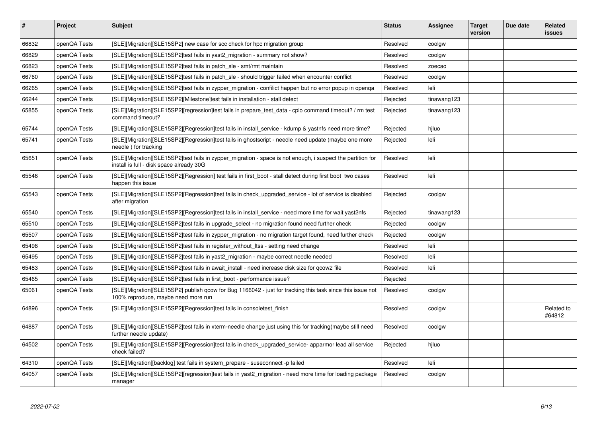| $\vert$ # | <b>Project</b> | <b>Subject</b>                                                                                                                                          | <b>Status</b> | Assignee    | Target<br>version | Due date | Related<br>issues    |
|-----------|----------------|---------------------------------------------------------------------------------------------------------------------------------------------------------|---------------|-------------|-------------------|----------|----------------------|
| 66832     | openQA Tests   | [SLE][Migration][SLE15SP2] new case for scc check for hpc migration group                                                                               | Resolved      | coolgw      |                   |          |                      |
| 66829     | openQA Tests   | [SLE][Migration][SLE15SP2]test fails in yast2_migration - summary not show?                                                                             | Resolved      | coolgw      |                   |          |                      |
| 66823     | openQA Tests   | [SLE][Migration][SLE15SP2]test fails in patch_sle - smt/rmt maintain                                                                                    | Resolved      | zoecao      |                   |          |                      |
| 66760     | openQA Tests   | [SLE][Migration][SLE15SP2]test fails in patch sle - should trigger failed when encounter conflict                                                       | Resolved      | coolgw      |                   |          |                      |
| 66265     | openQA Tests   | [SLE][Migration][SLE15SP2]test fails in zypper_migration - confilict happen but no error popup in openqa                                                | Resolved      | leli        |                   |          |                      |
| 66244     | openQA Tests   | [SLE][Migration][SLE15SP2][Milestone]test fails in installation - stall detect                                                                          | Rejected      | tinawang123 |                   |          |                      |
| 65855     | openQA Tests   | [SLE][Migration][SLE15SP2][regression]test fails in prepare test data - cpio command timeout? / rm test<br>command timeout?                             | Rejected      | tinawang123 |                   |          |                      |
| 65744     | openQA Tests   | [SLE][Migration][SLE15SP2][Regression]test fails in install service - kdump & yastnfs need more time?                                                   | Rejected      | hiluo       |                   |          |                      |
| 65741     | openQA Tests   | [SLE][Migration][SLE15SP2][Regression]test fails in ghostscript - needle need update (maybe one more<br>needle) for tracking                            | Rejected      | leli        |                   |          |                      |
| 65651     | openQA Tests   | [SLE][Migration][SLE15SP2]test fails in zypper_migration - space is not enough, i suspect the partition for<br>install is full - disk space already 30G | Resolved      | leli        |                   |          |                      |
| 65546     | openQA Tests   | [SLE][Migration][SLE15SP2][Regression] test fails in first boot - stall detect during first boot two cases<br>happen this issue                         | Resolved      | leli        |                   |          |                      |
| 65543     | openQA Tests   | [SLE][Migration][SLE15SP2][Regression]test fails in check_upgraded_service - lot of service is disabled<br>after migration                              | Rejected      | coolgw      |                   |          |                      |
| 65540     | openQA Tests   | [SLE][Migration][SLE15SP2][Regression]test fails in install service - need more time for wait yast2nfs                                                  | Rejected      | tinawang123 |                   |          |                      |
| 65510     | openQA Tests   | [SLE][Migration][SLE15SP2]test fails in upgrade_select - no migration found need further check                                                          | Rejected      | coolgw      |                   |          |                      |
| 65507     | openQA Tests   | [SLE][Migration][SLE15SP2]test fails in zypper_migration - no migration target found, need further check                                                | Rejected      | coolgw      |                   |          |                      |
| 65498     | openQA Tests   | [SLE][Migration][SLE15SP2]test fails in register without Itss - setting need change                                                                     | Resolved      | leli        |                   |          |                      |
| 65495     | openQA Tests   | [SLE][Migration][SLE15SP2]test fails in yast2_migration - maybe correct needle needed                                                                   | Resolved      | leli        |                   |          |                      |
| 65483     | openQA Tests   | [SLE][Migration][SLE15SP2]test fails in await_install - need increase disk size for qcow2 file                                                          | Resolved      | leli        |                   |          |                      |
| 65465     | openQA Tests   | [SLE][Migration][SLE15SP2]test fails in first boot - performance issue?                                                                                 | Rejected      |             |                   |          |                      |
| 65061     | openQA Tests   | [SLE][Migration][SLE15SP2] publish qcow for Bug 1166042 - just for tracking this task since this issue not<br>100% reproduce, maybe need more run       | Resolved      | coolgw      |                   |          |                      |
| 64896     | openQA Tests   | [SLE][Migration][SLE15SP2][Regression]test fails in consoletest_finish                                                                                  | Resolved      | coolgw      |                   |          | Related to<br>#64812 |
| 64887     | openQA Tests   | [SLE][Migration][SLE15SP2]test fails in xterm-needle change just using this for tracking(maybe still need<br>further needle update)                     | Resolved      | coolgw      |                   |          |                      |
| 64502     | openQA Tests   | [SLE][Migration][SLE15SP2][Regression]test fails in check_upgraded_service- apparmor lead all service<br>check failed?                                  | Rejected      | hjluo       |                   |          |                      |
| 64310     | openQA Tests   | [SLE][Migration][backlog] test fails in system_prepare - suseconnect -p failed                                                                          | Resolved      | leli        |                   |          |                      |
| 64057     | openQA Tests   | [SLE][Migration][SLE15SP2][regression]test fails in yast2 migration - need more time for loading package<br>manager                                     | Resolved      | coolgw      |                   |          |                      |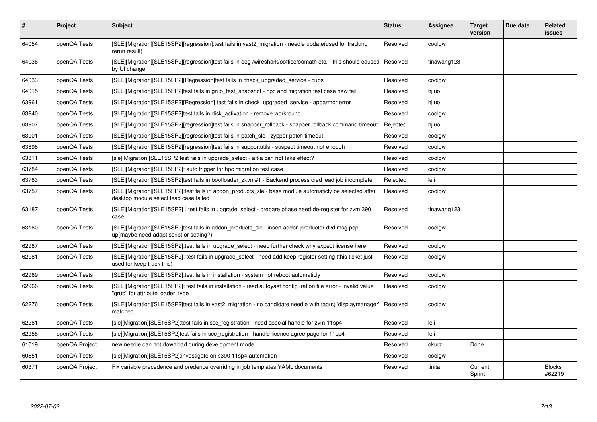| $\vert$ # | Project        | <b>Subject</b>                                                                                                                                      | <b>Status</b> | <b>Assignee</b> | <b>Target</b><br>version | Due date | <b>Related</b><br>issues |
|-----------|----------------|-----------------------------------------------------------------------------------------------------------------------------------------------------|---------------|-----------------|--------------------------|----------|--------------------------|
| 64054     | openQA Tests   | [SLE][Migration][SLE15SP2][regression]:test fails in yast2_migration - needle update(used for tracking<br>rerun result)                             | Resolved      | coolgw          |                          |          |                          |
| 64036     | openQA Tests   | [SLE][Migration][SLE15SP2][regression]test fails in eog /wireshark/ooffice/oomath etc. - this should caused<br>by UI change                         | Resolved      | tinawang123     |                          |          |                          |
| 64033     | openQA Tests   | [SLE][Migration][SLE15SP2][Regression]test fails in check upgraded service - cups                                                                   | Resolved      | coolgw          |                          |          |                          |
| 64015     | openQA Tests   | [SLE][Migration][SLE15SP2]test fails in grub test snapshot - hpc and migration test case new fail                                                   | Resolved      | hiluo           |                          |          |                          |
| 63961     | openQA Tests   | [SLE][Migration][SLE15SP2][Regression] test fails in check upgraded service - apparmor error                                                        | Resolved      | hjluo           |                          |          |                          |
| 63940     | openQA Tests   | [SLE][Migration][SLE15SP2]test fails in disk activation - remove workround                                                                          | Resolved      | coolgw          |                          |          |                          |
| 63907     | openQA Tests   | [SLE][Migration][SLE15SP2][regression]test fails in snapper rollback - snapper rollback command timeout                                             | Rejected      | hjluo           |                          |          |                          |
| 63901     | openQA Tests   | [SLE][Migration][SLE15SP2][regression]test fails in patch sle - zypper patch timeout                                                                | Resolved      | coolgw          |                          |          |                          |
| 63898     | openQA Tests   | [SLE][Migration][SLE15SP2][regression]test fails in supportutils - suspect timeout not enough                                                       | Resolved      | coolgw          |                          |          |                          |
| 63811     | openQA Tests   | [sle][Migration][SLE15SP2]test fails in upgrade select - alt-a can not take effect?                                                                 | Resolved      | coolgw          |                          |          |                          |
| 63784     | openQA Tests   | [SLE][Migration][SLE15SP2]: auto trigger for hpc migration test case                                                                                | Resolved      | coolgw          |                          |          |                          |
| 63763     | openQA Tests   | [SLE][Migration][SLE15SP2]test fails in bootloader_zkvm#1 - Backend process died lead job incomplete                                                | Rejected      | leli            |                          |          |                          |
| 63757     | openQA Tests   | [SLE][Migration][SLE15SP2]:test fails in addon_products_sle - base module automaticly be selected after<br>desktop module select lead case failed   | Resolved      | coolgw          |                          |          |                          |
| 63187     | openQA Tests   | [SLE][Migration][SLE15SP2] Ltest fails in upgrade_select - prepare phase need de-register for zvm 390<br>case                                       | Resolved      | tinawang123     |                          |          |                          |
| 63160     | openQA Tests   | [SLE][Migration][SLE15SP2]test fails in addon_products_sle - insert addon productor dvd msg pop<br>up(maybe need adapt script or setting?)          | Resolved      | coolgw          |                          |          |                          |
| 62987     | openQA Tests   | [SLE][Migration][SLE15SP2]:test fails in upgrade_select - need further check why expect license here                                                | Resolved      | coolgw          |                          |          |                          |
| 62981     | openQA Tests   | [SLE][Migration][SLE15SP2]: test fails in upgrade_select - need add keep register setting (this ticket just<br>used for keep track this)            | Resolved      | coolgw          |                          |          |                          |
| 62969     | openQA Tests   | [SLE][Migration][SLE15SP2]:test fails in installation - system not reboot automaticly                                                               | Resolved      | coolgw          |                          |          |                          |
| 62966     | openQA Tests   | [SLE][Migration][SLE15SP2]: test fails in installation - read autoyast configuration file error - invalid value<br>'grub" for attribute loader_type | Resolved      | coolgw          |                          |          |                          |
| 62276     | openQA Tests   | [SLE][Migration][SLE15SP2]test fails in yast2_migration - no candidate needle with tag(s) 'displaymanager'<br>matched                               | Resolved      | coolgw          |                          |          |                          |
| 62261     | openQA Tests   | [sle][Migration][SLE15SP2]:test fails in scc registration - need special handle for zvm 11sp4                                                       | Resolved      | leli            |                          |          |                          |
| 62258     | openQA Tests   | [sle][Migration][SLE15SP2]test fails in scc registration - handle licence agree page for 11sp4                                                      | Resolved      | leli            |                          |          |                          |
| 61019     | openQA Project | new needle can not download during development mode                                                                                                 | Resolved      | okurz           | Done                     |          |                          |
| 60851     | openQA Tests   | [sle][Migration][SLE15SP2]:investigate on s390 11sp4 automation                                                                                     | Resolved      | coolgw          |                          |          |                          |
| 60371     | openQA Project | Fix variable precedence and predence overriding in job templates YAML documents                                                                     | Resolved      | tinita          | Current<br>Sprint        |          | <b>Blocks</b><br>#62219  |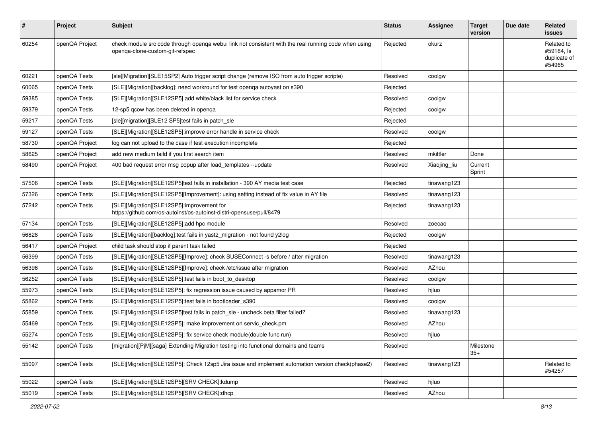| #     | Project        | <b>Subject</b>                                                                                                                          | <b>Status</b> | <b>Assignee</b> | <b>Target</b><br>version | Due date | <b>Related</b><br><b>issues</b>                    |
|-------|----------------|-----------------------------------------------------------------------------------------------------------------------------------------|---------------|-----------------|--------------------------|----------|----------------------------------------------------|
| 60254 | openQA Project | check module src code through openqa webui link not consistent with the real running code when using<br>openqa-clone-custom-git-refspec | Rejected      | okurz           |                          |          | Related to<br>#59184, Is<br>duplicate of<br>#54965 |
| 60221 | openQA Tests   | [sle][Migration][SLE15SP2] Auto trigger script change (remove ISO from auto trigger scripte)                                            | Resolved      | coolgw          |                          |          |                                                    |
| 60065 | openQA Tests   | [SLE][Migration][backlog]: need workround for test openga autoyast on s390                                                              | Rejected      |                 |                          |          |                                                    |
| 59385 | openQA Tests   | [SLE][Migration][SLE12SP5] add white/black list for service check                                                                       | Resolved      | coolgw          |                          |          |                                                    |
| 59379 | openQA Tests   | 12-sp5 gcow has been deleted in openga                                                                                                  | Rejected      | coolgw          |                          |          |                                                    |
| 59217 | openQA Tests   | [sle][migration][SLE12 SP5]test fails in patch_sle                                                                                      | Rejected      |                 |                          |          |                                                    |
| 59127 | openQA Tests   | [SLE][Migration][SLE12SP5]:improve error handle in service check                                                                        | Resolved      | coolgw          |                          |          |                                                    |
| 58730 | openQA Project | log can not upload to the case if test execution incomplete                                                                             | Rejected      |                 |                          |          |                                                    |
| 58625 | openQA Project | add new medium faild if you first search item                                                                                           | Resolved      | mkittler        | Done                     |          |                                                    |
| 58490 | openQA Project | 400 bad request error msg popup after load templates --update                                                                           | Resolved      | Xiaojing_liu    | Current<br>Sprint        |          |                                                    |
| 57506 | openQA Tests   | [SLE][Migration][SLE12SP5]test fails in installation - 390 AY media test case                                                           | Rejected      | tinawang123     |                          |          |                                                    |
| 57326 | openQA Tests   | [SLE][Migration][SLE12SP5][Improvement]: using setting instead of fix value in AY file                                                  | Resolved      | tinawang123     |                          |          |                                                    |
| 57242 | openQA Tests   | [SLE][Migration][SLE12SP5]:improvement for<br>https://github.com/os-autoinst/os-autoinst-distri-opensuse/pull/8479                      | Rejected      | tinawang123     |                          |          |                                                    |
| 57134 | openQA Tests   | [SLE][Migration][SLE12SP5]:add hpc module                                                                                               | Resolved      | zoecao          |                          |          |                                                    |
| 56828 | openQA Tests   | [SLE][Migration][backlog]:test fails in yast2_migration - not found y2log                                                               | Rejected      | coolgw          |                          |          |                                                    |
| 56417 | openQA Project | child task should stop if parent task failed                                                                                            | Rejected      |                 |                          |          |                                                    |
| 56399 | openQA Tests   | [SLE][Migration][SLE12SP5][Improve]: check SUSEConnect -s before / after migration                                                      | Resolved      | tinawang123     |                          |          |                                                    |
| 56396 | openQA Tests   | [SLE][Migration][SLE12SP5][Improve]: check /etc/issue after migration                                                                   | Resolved      | AZhou           |                          |          |                                                    |
| 56252 | openQA Tests   | [SLE][Migration][SLE12SP5]:test fails in boot_to_desktop                                                                                | Resolved      | coolgw          |                          |          |                                                    |
| 55973 | openQA Tests   | [SLE][Migration][SLE12SP5]: fix regression issue caused by appamor PR                                                                   | Resolved      | hjluo           |                          |          |                                                    |
| 55862 | openQA Tests   | [SLE][Migration][SLE12SP5]:test fails in bootloader_s390                                                                                | Resolved      | coolgw          |                          |          |                                                    |
| 55859 | openQA Tests   | [SLE][Migration][SLE12SP5]test fails in patch_sle - uncheck beta filter failed?                                                         | Resolved      | tinawang123     |                          |          |                                                    |
| 55469 | openQA Tests   | [SLE][Migration][SLE12SP5]: make improvement on servic_check.pm                                                                         | Resolved      | AZhou           |                          |          |                                                    |
| 55274 | openQA Tests   | [SLE][Migration][SLE12SP5]: fix service check module(double func run)                                                                   | Resolved      | hjluo           |                          |          |                                                    |
| 55142 | openQA Tests   | [migration][P M][saga] Extending Migration testing into functional domains and teams                                                    | Resolved      |                 | Milestone<br>$35+$       |          |                                                    |
| 55097 | openQA Tests   | [SLE][Migration][SLE12SP5]: Check 12sp5 Jira issue and implement automation version check(phase2)                                       | Resolved      | tinawang123     |                          |          | Related to<br>#54257                               |
| 55022 | openQA Tests   | [SLE][Migration][SLE12SP5][SRV CHECK]:kdump                                                                                             | Resolved      | hjluo           |                          |          |                                                    |
| 55019 | openQA Tests   | [SLE][Migration][SLE12SP5][SRV CHECK]:dhcp                                                                                              | Resolved      | AZhou           |                          |          |                                                    |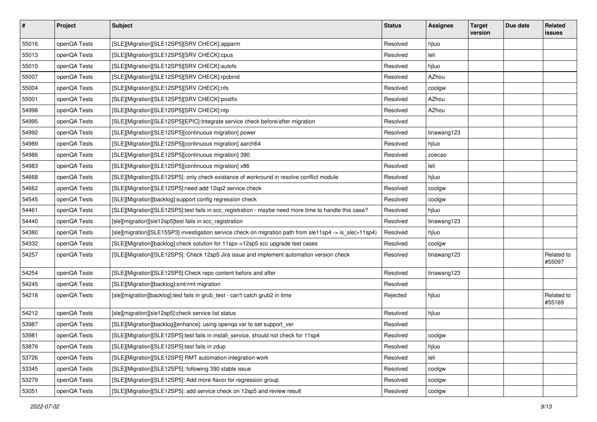| $\sharp$ | Project      | <b>Subject</b>                                                                                           | <b>Status</b> | <b>Assignee</b> | <b>Target</b><br>version | Due date | Related<br><b>issues</b> |
|----------|--------------|----------------------------------------------------------------------------------------------------------|---------------|-----------------|--------------------------|----------|--------------------------|
| 55016    | openQA Tests | [SLE][Migration][SLE12SP5][SRV CHECK]:apparm                                                             | Resolved      | hjluo           |                          |          |                          |
| 55013    | openQA Tests | [SLE][Migration][SLE12SP5][SRV CHECK]:cpus                                                               | Resolved      | leli            |                          |          |                          |
| 55010    | openQA Tests | [SLE][Migration][SLE12SP5][SRV CHECK]:autofs                                                             | Resolved      | hjluo           |                          |          |                          |
| 55007    | openQA Tests | [SLE][Migration][SLE12SP5][SRV CHECK]:rpcbind                                                            | Resolved      | AZhou           |                          |          |                          |
| 55004    | openQA Tests | [SLE][Migration][SLE12SP5][SRV CHECK]:nfs                                                                | Resolved      | coolgw          |                          |          |                          |
| 55001    | openQA Tests | [SLE][Migration][SLE12SP5][SRV CHECK]:postfix                                                            | Resolved      | AZhou           |                          |          |                          |
| 54998    | openQA Tests | [SLE][Migration][SLE12SP5][SRV CHECK]:ntp                                                                | Resolved      | AZhou           |                          |          |                          |
| 54995    | openQA Tests | [SLE][Migration][SLE12SP5][EPIC]:Integrate service check before/after migration                          | Resolved      |                 |                          |          |                          |
| 54992    | openQA Tests | [SLE][Migration][SLE12SP5][continuous migration] power                                                   | Resolved      | tinawang123     |                          |          |                          |
| 54989    | openQA Tests | [SLE][Migration][SLE12SP5][continuous migration] aarch64                                                 | Resolved      | hjluo           |                          |          |                          |
| 54986    | openQA Tests | [SLE][Migration][SLE12SP5][continuous migration] 390                                                     | Resolved      | zoecao          |                          |          |                          |
| 54983    | openQA Tests | [SLE][Migration][SLE12SP5][continuous migration] x86                                                     | Resolved      | leli            |                          |          |                          |
| 54668    | openQA Tests | [SLE][Migration][SLE12SP5]: only check existance of workround in resolve conflict module                 | Resolved      | hjluo           |                          |          |                          |
| 54662    | openQA Tests | [SLE][Migration][SLE12SP5]:need add 12sp2 service check                                                  | Resolved      | coolgw          |                          |          |                          |
| 54545    | openQA Tests | [SLE][Migration][backlog]:support config regression check                                                | Resolved      | coolgw          |                          |          |                          |
| 54461    | openQA Tests | [SLE][Migration][SLE12SP5]:test fails in scc_registration - maybe need more time to handle this case?    | Resolved      | hjluo           |                          |          |                          |
| 54440    | openQA Tests | [sle][migration][sle12sp5]test fails in scc_registration                                                 | Resolved      | tinawang123     |                          |          |                          |
| 54380    | openQA Tests | [sle][migration][SLE15SP3] investigation service check on migration path from sle11sp4 -> is_sle(>11sp4) | Resolved      | hjluo           |                          |          |                          |
| 54332    | openQA Tests | [SLE][Migration][backlog]:check solution for 11spx->12sp5 scc upgrade test cases                         | Resolved      | coolgw          |                          |          |                          |
| 54257    | openQA Tests | [SLE][Migration][SLE12SP5]: Check 12sp5 Jira issue and implement automation version check                | Resolved      | tinawang123     |                          |          | Related to<br>#55097     |
| 54254    | openQA Tests | [SLE][Migration][SLE12SP5]:Check repo content before and after                                           | Resolved      | tinawang123     |                          |          |                          |
| 54245    | openQA Tests | [SLE][Migration][backlog]:smt/rmt migration                                                              | Resolved      |                 |                          |          |                          |
| 54218    | openQA Tests | [sle][migration][backlog]:test fails in grub_test - can't catch grub2 in time                            | Rejected      | hjluo           |                          |          | Related to<br>#55169     |
| 54212    | openQA Tests | [sle][migration][sle12sp5]:check service list status                                                     | Resolved      | hjluo           |                          |          |                          |
| 53987    | openQA Tests | [SLE][Migration][backlog][enhance]: using openqa var to set support_ver                                  | Resolved      |                 |                          |          |                          |
| 53981    | openQA Tests | [SLE][Migration][SLE12SP5]:test fails in install_service, should not check for 11sp4                     | Resolved      | coolgw          |                          |          |                          |
| 53876    | openQA Tests | [SLE][Migration][SLE12SP5]:test fails in zdup                                                            | Resolved      | hjluo           |                          |          |                          |
| 53726    | openQA Tests | [SLE][Migration][SLE12SP5] RMT automation integration work                                               | Resolved      | leli            |                          |          |                          |
| 53345    | openQA Tests | [SLE][Migration][SLE12SP5]: following 390 stable issue                                                   | Resolved      | coolgw          |                          |          |                          |
| 53279    | openQA Tests | [SLE][Migration][SLE12SP5]: Add more flavor for regression group                                         | Resolved      | coolgw          |                          |          |                          |
| 53051    | openQA Tests | [SLE][Migration][SLE12SP5]: add service check on 12sp5 and review result                                 | Resolved      | coolgw          |                          |          |                          |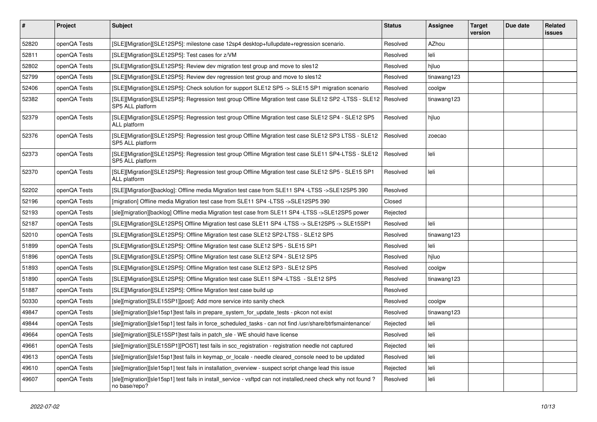| $\vert$ # | Project      | <b>Subject</b>                                                                                                                       | <b>Status</b> | <b>Assignee</b> | <b>Target</b><br>version | Due date | Related<br><b>issues</b> |
|-----------|--------------|--------------------------------------------------------------------------------------------------------------------------------------|---------------|-----------------|--------------------------|----------|--------------------------|
| 52820     | openQA Tests | [SLE][Migration][SLE12SP5]: milestone case 12sp4 desktop+fullupdate+regression scenario.                                             | Resolved      | AZhou           |                          |          |                          |
| 52811     | openQA Tests | [SLE][Migration][SLE12SP5]: Test cases for z/VM                                                                                      | Resolved      | leli            |                          |          |                          |
| 52802     | openQA Tests | [SLE][Migration][SLE12SP5]: Review dev migration test group and move to sles12                                                       | Resolved      | hjluo           |                          |          |                          |
| 52799     | openQA Tests | [SLE][Migration][SLE12SP5]: Review dev regression test group and move to sles12                                                      | Resolved      | tinawang123     |                          |          |                          |
| 52406     | openQA Tests | [SLE][Migration][SLE12SP5]: Check solution for support SLE12 SP5 -> SLE15 SP1 migration scenario                                     | Resolved      | coolgw          |                          |          |                          |
| 52382     | openQA Tests | [SLE][Migration][SLE12SP5]: Regression test group Offline Migration test case SLE12 SP2 -LTSS - SLE12   Resolved<br>SP5 ALL platform |               | tinawang123     |                          |          |                          |
| 52379     | openQA Tests | [SLE][Migration][SLE12SP5]: Regression test group Offline Migration test case SLE12 SP4 - SLE12 SP5<br>ALL platform                  | Resolved      | hjluo           |                          |          |                          |
| 52376     | openQA Tests | [SLE][Migration][SLE12SP5]: Regression test group Offline Migration test case SLE12 SP3 LTSS - SLE12<br>SP5 ALL platform             | Resolved      | zoecao          |                          |          |                          |
| 52373     | openQA Tests | [SLE][Migration][SLE12SP5]: Regression test group Offline Migration test case SLE11 SP4-LTSS - SLE12<br>SP5 ALL platform             | Resolved      | leli            |                          |          |                          |
| 52370     | openQA Tests | [SLE][Migration][SLE12SP5]: Regression test group Offline Migration test case SLE12 SP5 - SLE15 SP1<br>ALL platform                  | Resolved      | leli            |                          |          |                          |
| 52202     | openQA Tests | [SLE][Migration][backlog]: Offline media Migration test case from SLE11 SP4 -LTSS ->SLE12SP5 390                                     | Resolved      |                 |                          |          |                          |
| 52196     | openQA Tests | [migration] Offline media Migration test case from SLE11 SP4 -LTSS ->SLE12SP5 390                                                    | Closed        |                 |                          |          |                          |
| 52193     | openQA Tests | [sle][migration][backlog] Offline media Migration test case from SLE11 SP4 -LTSS ->SLE12SP5 power                                    | Rejected      |                 |                          |          |                          |
| 52187     | openQA Tests | SLE][Migration][SLE12SP5] Offline Migration test case SLE11 SP4 -LTSS -> SLE12SP5 -> SLE15SP1                                        | Resolved      | leli            |                          |          |                          |
| 52010     | openQA Tests | [SLE][Migration][SLE12SP5]: Offline Migration test case SLE12 SP2-LTSS - SLE12 SP5                                                   | Resolved      | tinawang123     |                          |          |                          |
| 51899     | openQA Tests | [SLE][Migration][SLE12SP5]: Offline Migration test case SLE12 SP5 - SLE15 SP1                                                        | Resolved      | leli            |                          |          |                          |
| 51896     | openQA Tests | [SLE][Migration][SLE12SP5]: Offline Migration test case SLE12 SP4 - SLE12 SP5                                                        | Resolved      | hjluo           |                          |          |                          |
| 51893     | openQA Tests | [SLE][Migration][SLE12SP5]: Offline Migration test case SLE12 SP3 - SLE12 SP5                                                        | Resolved      | coolgw          |                          |          |                          |
| 51890     | openQA Tests | [SLE][Migration][SLE12SP5]: Offline Migration test case SLE11 SP4 -LTSS - SLE12 SP5                                                  | Resolved      | tinawang123     |                          |          |                          |
| 51887     | openQA Tests | [SLE][Migration][SLE12SP5]: Offline Migration test case build up                                                                     | Resolved      |                 |                          |          |                          |
| 50330     | openQA Tests | [sle][migration][SLE15SP1][post]: Add more service into sanity check                                                                 | Resolved      | coolgw          |                          |          |                          |
| 49847     | openQA Tests | [sle][migration][sle15sp1]test fails in prepare system for update tests - pkcon not exist                                            | Resolved      | tinawang123     |                          |          |                          |
| 49844     | openQA Tests | [sle][migration][sle15sp1] test fails in force_scheduled_tasks - can not find /usr/share/btrfsmaintenance/                           | Rejected      | leli            |                          |          |                          |
| 49664     | openQA Tests | [sle][migration][SLE15SP1]test fails in patch sle - WE should have license                                                           | Resolved      | leli            |                          |          |                          |
| 49661     | openQA Tests | [sle][migration][SLE15SP1][POST] test fails in scc_registration - registration needle not captured                                   | Rejected      | leli            |                          |          |                          |
| 49613     | openQA Tests | [sle][migration][sle15sp1]test fails in keymap_or_locale - needle cleared_console need to be updated                                 | Resolved      | leli            |                          |          |                          |
| 49610     | openQA Tests | [sle][migration][sle15sp1] test fails in installation_overview - suspect script change lead this issue                               | Rejected      | leli            |                          |          |                          |
| 49607     | openQA Tests | [sle][migration][sle15sp1] test fails in install_service - vsftpd can not installed,need check why not found?<br>no base/repo?       | Resolved      | leli            |                          |          |                          |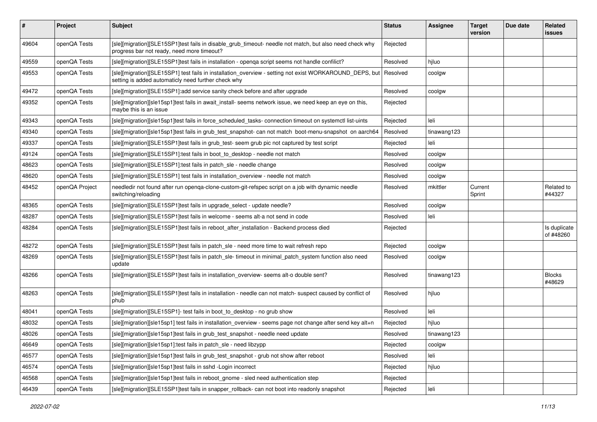| #     | Project        | <b>Subject</b>                                                                                                                                                 | <b>Status</b> | <b>Assignee</b> | <b>Target</b><br>version | Due date | Related<br><b>issues</b>  |
|-------|----------------|----------------------------------------------------------------------------------------------------------------------------------------------------------------|---------------|-----------------|--------------------------|----------|---------------------------|
| 49604 | openQA Tests   | [sle][migration][SLE15SP1]test fails in disable_grub_timeout- needle not match, but also need check why<br>progress bar not ready, need more timeout?          | Rejected      |                 |                          |          |                           |
| 49559 | openQA Tests   | [sle][migration][SLE15SP1]test fails in installation - openqa script seems not handle confilict?                                                               | Resolved      | hjluo           |                          |          |                           |
| 49553 | openQA Tests   | [sle][migration][SLE15SP1] test fails in installation_overview - setting not exist WORKAROUND_DEPS, but<br>setting is added automaticly need further check why | Resolved      | coolgw          |                          |          |                           |
| 49472 | openQA Tests   | [sle][migration][SLE15SP1]:add service sanity check before and after upgrade                                                                                   | Resolved      | coolgw          |                          |          |                           |
| 49352 | openQA Tests   | [sle][migration][sle15sp1]test fails in await_install- seems network issue, we need keep an eye on this,<br>maybe this is an issue                             | Rejected      |                 |                          |          |                           |
| 49343 | openQA Tests   | [sle][migration][sle15sp1]test fails in force_scheduled_tasks- connection timeout on systemctl list-uints                                                      | Rejected      | leli            |                          |          |                           |
| 49340 | openQA Tests   | [sle][migration][sle15sp1]test fails in grub_test_snapshot- can not match boot-menu-snapshot on aarch64                                                        | Resolved      | tinawang123     |                          |          |                           |
| 49337 | openQA Tests   | [sle][migration][SLE15SP1]test fails in grub test-seem grub pic not captured by test script                                                                    | Rejected      | leli            |                          |          |                           |
| 49124 | openQA Tests   | [sle][migration][SLE15SP1]:test fails in boot_to_desktop - needle not match                                                                                    | Resolved      | coolgw          |                          |          |                           |
| 48623 | openQA Tests   | [sle][migration][SLE15SP1]:test fails in patch sle - needle change                                                                                             | Resolved      | coolgw          |                          |          |                           |
| 48620 | openQA Tests   | [sle][migration][SLE15SP1] test fails in installation_overview - needle not match                                                                              | Resolved      | coolgw          |                          |          |                           |
| 48452 | openQA Project | needledir not found after run openqa-clone-custom-git-refspec script on a job with dynamic needle<br>switching/reloading                                       | Resolved      | mkittler        | Current<br>Sprint        |          | Related to<br>#44327      |
| 48365 | openQA Tests   | [sle][migration][SLE15SP1]test fails in upgrade_select - update needle?                                                                                        | Resolved      | coolgw          |                          |          |                           |
| 48287 | openQA Tests   | [sle][migration][SLE15SP1]test fails in welcome - seems alt-a not send in code                                                                                 | Resolved      | leli            |                          |          |                           |
| 48284 | openQA Tests   | [sle][migration][SLE15SP1]test fails in reboot_after_installation - Backend process died                                                                       | Rejected      |                 |                          |          | Is duplicate<br>of #48260 |
| 48272 | openQA Tests   | [sle][migration][SLE15SP1]test fails in patch sle - need more time to wait refresh repo                                                                        | Rejected      | coolgw          |                          |          |                           |
| 48269 | openQA Tests   | [sle][migration][SLE15SP1]test fails in patch_sle- timeout in minimal_patch_system function also need<br>update                                                | Resolved      | coolgw          |                          |          |                           |
| 48266 | openQA Tests   | [sle][migration][SLE15SP1]test fails in installation_overview- seems alt-o double sent?                                                                        | Resolved      | tinawang123     |                          |          | <b>Blocks</b><br>#48629   |
| 48263 | openQA Tests   | [sle][migration][SLE15SP1]test fails in installation - needle can not match- suspect caused by conflict of<br>phub                                             | Resolved      | hiluo           |                          |          |                           |
| 48041 | openQA Tests   | [sle][migration][SLE15SP1]- test fails in boot_to_desktop - no grub show                                                                                       | Resolved      | leli            |                          |          |                           |
| 48032 | openQA Tests   | [sle][migration][sle15sp1] test fails in installation_overview - seems page not change after send key alt+n                                                    | Rejected      | hjluo           |                          |          |                           |
| 48026 | openQA Tests   | [sle][migration][sle15sp1]test fails in grub test snapshot - needle need update                                                                                | Resolved      | tinawang123     |                          |          |                           |
| 46649 | openQA Tests   | [sle][migration][sle15sp1]:test fails in patch sle - need libzypp                                                                                              | Rejected      | coolgw          |                          |          |                           |
| 46577 | openQA Tests   | [sle][migration][sle15sp1]test fails in grub test snapshot - grub not show after reboot                                                                        | Resolved      | leli            |                          |          |                           |
| 46574 | openQA Tests   | [sle][migration][sle15sp1]test fails in sshd -Login incorrect                                                                                                  | Rejected      | hjluo           |                          |          |                           |
| 46568 | openQA Tests   | [sle][migration][sle15sp1]test fails in reboot_gnome - sled need authentication step                                                                           | Rejected      |                 |                          |          |                           |
| 46439 | openQA Tests   | [sle][migration][SLE15SP1]test fails in snapper_rollback- can not boot into readonly snapshot                                                                  | Rejected      | leli            |                          |          |                           |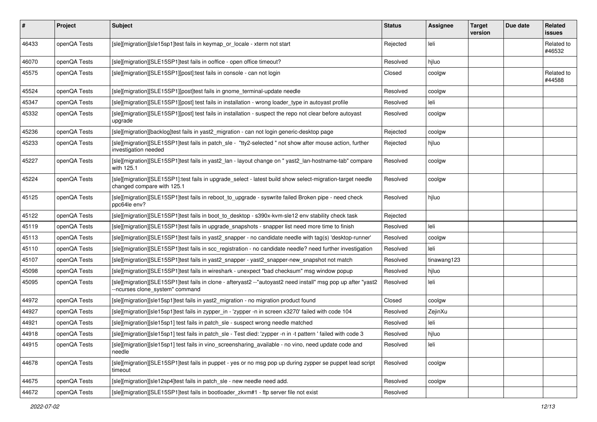| #     | Project      | <b>Subject</b>                                                                                                                                   | <b>Status</b> | <b>Assignee</b> | <b>Target</b><br>version | Due date | <b>Related</b><br><b>issues</b> |
|-------|--------------|--------------------------------------------------------------------------------------------------------------------------------------------------|---------------|-----------------|--------------------------|----------|---------------------------------|
| 46433 | openQA Tests | [sle][migration][sle15sp1]test fails in keymap_or_locale - xterm not start                                                                       | Rejected      | leli            |                          |          | Related to<br>#46532            |
| 46070 | openQA Tests | [sle][migration][SLE15SP1]test fails in ooffice - open office timeout?                                                                           | Resolved      | hjluo           |                          |          |                                 |
| 45575 | openQA Tests | [sle][migration][SLE15SP1][post]:test fails in console - can not login                                                                           | Closed        | coolgw          |                          |          | Related to<br>#44588            |
| 45524 | openQA Tests | [sle][migration][SLE15SP1][post]test fails in gnome_terminal-update needle                                                                       | Resolved      | coolgw          |                          |          |                                 |
| 45347 | openQA Tests | [sle][migration][SLE15SP1][post] test fails in installation - wrong loader_type in autoyast profile                                              | Resolved      | leli            |                          |          |                                 |
| 45332 | openQA Tests | [sle][migration][SLE15SP1][post] test fails in installation - suspect the repo not clear before autoyast<br>upgrade                              | Resolved      | coolgw          |                          |          |                                 |
| 45236 | openQA Tests | [sle][migration][backlog]test fails in yast2 migration - can not login generic-desktop page                                                      | Rejected      | coolgw          |                          |          |                                 |
| 45233 | openQA Tests | [sle][migration][SLE15SP1]test fails in patch_sle - "tty2-selected " not show after mouse action, further<br>investigation needed                | Rejected      | hjluo           |                          |          |                                 |
| 45227 | openQA Tests | [sle][migration][SLE15SP1]test fails in yast2_lan - layout change on " yast2_lan-hostname-tab" compare<br>with 125.1                             | Resolved      | coolgw          |                          |          |                                 |
| 45224 | openQA Tests | [sle][migration][SLE15SP1]:test fails in upgrade_select - latest build show select-migration-target needle<br>changed compare with 125.1         | Resolved      | coolgw          |                          |          |                                 |
| 45125 | openQA Tests | [sle][migration][SLE15SP1]test fails in reboot to_upgrade - syswrite failed Broken pipe - need check<br>ppc64le env?                             | Resolved      | hjluo           |                          |          |                                 |
| 45122 | openQA Tests | [sle][migration][SLE15SP1]test fails in boot_to_desktop - s390x-kvm-sle12 env stability check task                                               | Rejected      |                 |                          |          |                                 |
| 45119 | openQA Tests | [sle][migration][SLE15SP1]test fails in upgrade_snapshots - snapper list need more time to finish                                                | Resolved      | leli            |                          |          |                                 |
| 45113 | openQA Tests | [sle][migration][SLE15SP1]test fails in yast2 snapper - no candidate needle with tag(s) 'desktop-runner'                                         | Resolved      | coolgw          |                          |          |                                 |
| 45110 | openQA Tests | [sle][migration][SLE15SP1]test fails in scc_registration - no candidate needle? need further investigation                                       | Resolved      | leli            |                          |          |                                 |
| 45107 | openQA Tests | [sle][migration][SLE15SP1]test fails in yast2_snapper - yast2_snapper-new_snapshot not match                                                     | Resolved      | tinawang123     |                          |          |                                 |
| 45098 | openQA Tests | [sle][migration][SLE15SP1]test fails in wireshark - unexpect "bad checksum" msg window popup                                                     | Resolved      | hjluo           |                          |          |                                 |
| 45095 | openQA Tests | [sle][migration][SLE15SP1]test fails in clone - afteryast2 --"autoyast2 need install" msg pop up after "yast2<br>--ncurses clone_system" command | Resolved      | leli            |                          |          |                                 |
| 44972 | openQA Tests | [sle][migration][sle15sp1]test fails in yast2_migration - no migration product found                                                             | Closed        | coolgw          |                          |          |                                 |
| 44927 | openQA Tests | [sle][migration][sle15sp1]test fails in zypper_in - 'zypper -n in screen x3270' failed with code 104                                             | Resolved      | ZejinXu         |                          |          |                                 |
| 44921 | openQA Tests | [sle][migration][sle15sp1] test fails in patch sle - suspect wrong needle matched                                                                | Resolved      | leli            |                          |          |                                 |
| 44918 | openQA Tests | [sle][migration][sle15sp1] test fails in patch_sle - Test died: 'zypper -n in -t pattern ' failed with code 3                                    | Resolved      | hjluo           |                          |          |                                 |
| 44915 | openQA Tests | [sle][migration][sle15sp1] test fails in vino_screensharing_available - no vino, need update code and<br>needle                                  | Resolved      | leli            |                          |          |                                 |
| 44678 | openQA Tests | [sle][migration][SLE15SP1]test fails in puppet - yes or no msg pop up during zypper se puppet lead script<br>timeout                             | Resolved      | coolgw          |                          |          |                                 |
| 44675 | openQA Tests | [sle][migration][sle12sp4]test fails in patch_sle - new needle need add.                                                                         | Resolved      | coolgw          |                          |          |                                 |
| 44672 | openQA Tests | [sle][migration][SLE15SP1]test fails in bootloader_zkvm#1 - ftp server file not exist                                                            | Resolved      |                 |                          |          |                                 |